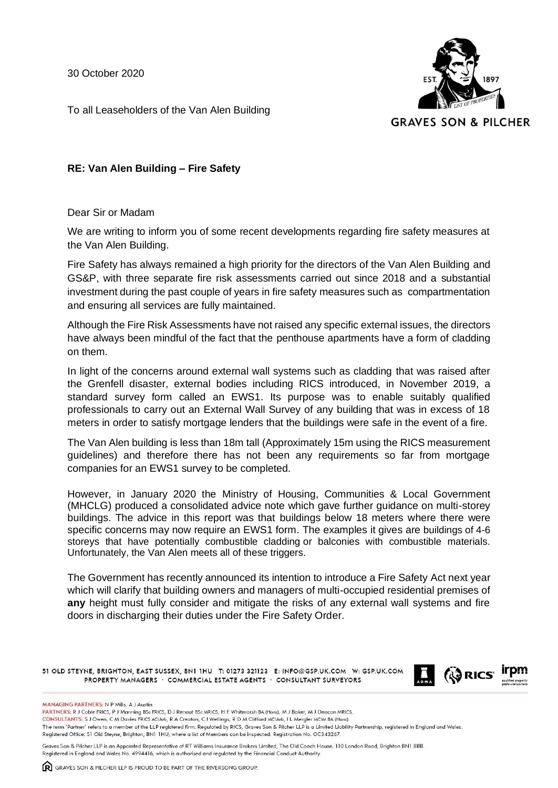30 October 2020

To all Leaseholders of the Van Alen Building



**GRAVES SON & PILCHER** 

## **RE: Van Alen Building – Fire Safety**

Dear Sir or Madam

We are writing to inform you of some recent developments regarding fire safety measures at the Van Alen Building.

Fire Safety has always remained a high priority for the directors of the Van Alen Building and GS&P, with three separate fire risk assessments carried out since 2018 and a substantial investment during the past couple of years in fire safety measures such as compartmentation and ensuring all services are fully maintained.

Although the Fire Risk Assessments have not raised any specific external issues, the directors have always been mindful of the fact that the penthouse apartments have a form of cladding on them.

In light of the concerns around external wall systems such as cladding that was raised after the Grenfell disaster, external bodies including RICS introduced, in November 2019, a standard survey form called an EWS1. Its purpose was to enable suitably qualified professionals to carry out an External Wall Survey of any building that was in excess of 18 meters in order to satisfy mortgage lenders that the buildings were safe in the event of a fire.

The Van Alen building is less than 18m tall (Approximately 15m using the RICS measurement guidelines) and therefore there has not been any requirements so far from mortgage companies for an EWS1 survey to be completed.

However, in January 2020 the Ministry of Housing, Communities & Local Government (MHCLG) produced a consolidated advice note which gave further guidance on multi-storey buildings. The advice in this report was that buildings below 18 meters where there were specific concerns may now require an EWS1 form. The examples it gives are buildings of 4-6 storeys that have potentially combustible cladding or balconies with combustible materials. Unfortunately, the Van Alen meets all of these triggers.

The Government has recently announced its intention to introduce a Fire Safety Act next year which will clarify that building owners and managers of multi-occupied residential premises of **any** height must fully consider and mitigate the risks of any external wall systems and fire doors in discharging their duties under the Fire Safety Order.

51 OLD STEYNE, BRIGHTON, EAST SUSSEX, BN1 1HU T: 01273 321123 E: INFO@GSP.UK.COM W: GSP.UK.COM PROPERTY MANAGERS COMMERCIAL ESTATE AGENTS CONSULTANT SURVEYORS



PARTNERS: R J Coble FRICS, P J Manning BSc FRICS, D J Renaut BSc MRICS, H F Whitmarsh BA (Hons), M J Baker, M J Deacon MRICS.

CONSULTANTS: S J Owen, C M Davies FRICS ACIArb, R A Creaton, C I Wellings, R D M Clifford MCIArb, I L Mergler MCIM BA (Hons)

The term 'Partner' refers to a member of the LLP registered firm. Regulated by RICS, Graves Son & Pilcher LLP is a Limited Liability Partnership, registered in England and Wales.

Registered Office: 51 Old Steyne, Brighton, BN1 1HU, where a list of Members can be inspected. Registration No. OC343267.

Graves Son & Pilcher LLP is an Appointed Representative of RT Williams Insurance Brokers Limited, The Old Coach House, 110 London Road, Brighton BN1 8BB. Registered in England and Wales No. 4994416, which is authorised and regulated by the Financial Conduct Authority.

MANAGING PARTNERS: N P Mills, A J Austin.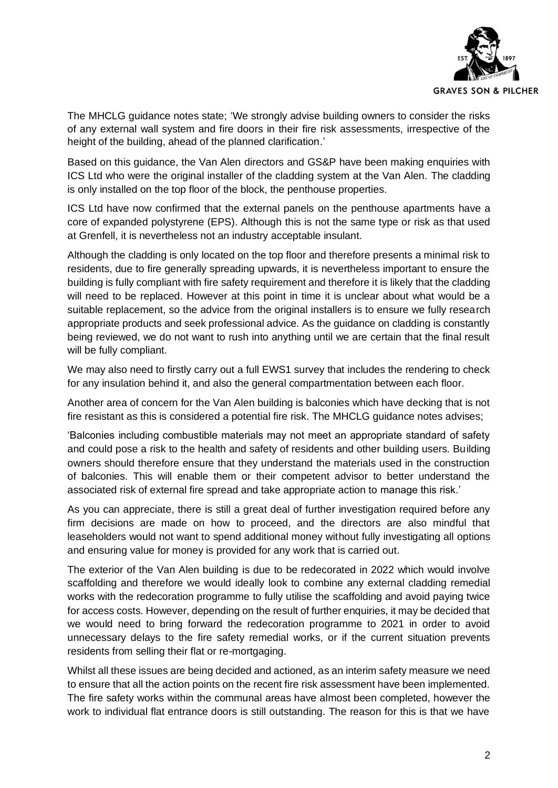

The MHCLG guidance notes state; 'We strongly advise building owners to consider the risks of any external wall system and fire doors in their fire risk assessments, irrespective of the height of the building, ahead of the planned clarification.'

Based on this guidance, the Van Alen directors and GS&P have been making enquiries with ICS Ltd who were the original installer of the cladding system at the Van Alen. The cladding is only installed on the top floor of the block, the penthouse properties.

ICS Ltd have now confirmed that the external panels on the penthouse apartments have a core of expanded polystyrene (EPS). Although this is not the same type or risk as that used at Grenfell, it is nevertheless not an industry acceptable insulant.

Although the cladding is only located on the top floor and therefore presents a minimal risk to residents, due to fire generally spreading upwards, it is nevertheless important to ensure the building is fully compliant with fire safety requirement and therefore it is likely that the cladding will need to be replaced. However at this point in time it is unclear about what would be a suitable replacement, so the advice from the original installers is to ensure we fully research appropriate products and seek professional advice. As the guidance on cladding is constantly being reviewed, we do not want to rush into anything until we are certain that the final result will be fully compliant.

We may also need to firstly carry out a full EWS1 survey that includes the rendering to check for any insulation behind it, and also the general compartmentation between each floor.

Another area of concern for the Van Alen building is balconies which have decking that is not fire resistant as this is considered a potential fire risk. The MHCLG guidance notes advises;

'Balconies including combustible materials may not meet an appropriate standard of safety and could pose a risk to the health and safety of residents and other building users. Building owners should therefore ensure that they understand the materials used in the construction of balconies. This will enable them or their competent advisor to better understand the associated risk of external fire spread and take appropriate action to manage this risk.'

As you can appreciate, there is still a great deal of further investigation required before any firm decisions are made on how to proceed, and the directors are also mindful that leaseholders would not want to spend additional money without fully investigating all options and ensuring value for money is provided for any work that is carried out.

The exterior of the Van Alen building is due to be redecorated in 2022 which would involve scaffolding and therefore we would ideally look to combine any external cladding remedial works with the redecoration programme to fully utilise the scaffolding and avoid paying twice for access costs. However, depending on the result of further enquiries, it may be decided that we would need to bring forward the redecoration programme to 2021 in order to avoid unnecessary delays to the fire safety remedial works, or if the current situation prevents residents from selling their flat or re-mortgaging.

Whilst all these issues are being decided and actioned, as an interim safety measure we need to ensure that all the action points on the recent fire risk assessment have been implemented. The fire safety works within the communal areas have almost been completed, however the work to individual flat entrance doors is still outstanding. The reason for this is that we have